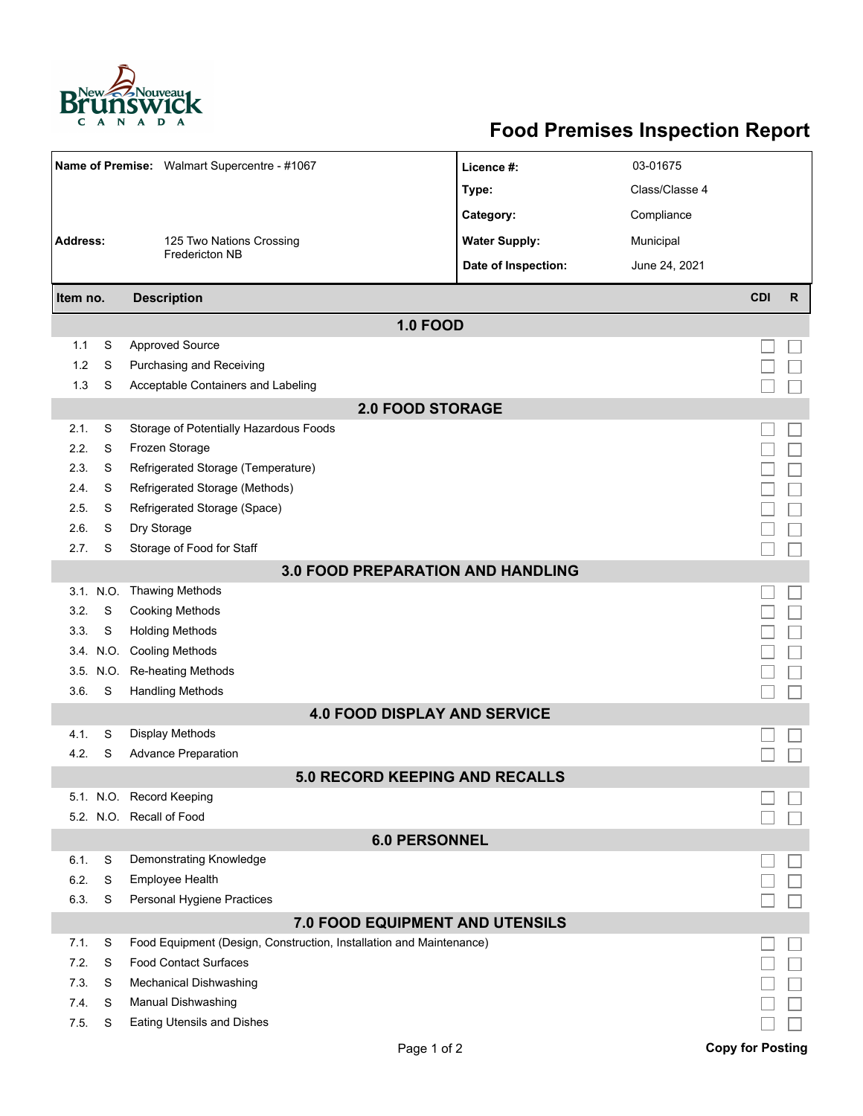

## **Food Premises Inspection Report**

| Name of Premise: Walmart Supercentre - #1067 |           |                                                                     | Licence #:                          | 03-01675       |                         |              |  |  |  |  |
|----------------------------------------------|-----------|---------------------------------------------------------------------|-------------------------------------|----------------|-------------------------|--------------|--|--|--|--|
|                                              |           |                                                                     | Type:                               | Class/Classe 4 |                         |              |  |  |  |  |
|                                              |           |                                                                     | Category:                           | Compliance     |                         |              |  |  |  |  |
| <b>Address:</b><br>125 Two Nations Crossing  |           |                                                                     | <b>Water Supply:</b>                | Municipal      |                         |              |  |  |  |  |
|                                              |           | <b>Fredericton NB</b>                                               | Date of Inspection:                 | June 24, 2021  |                         |              |  |  |  |  |
|                                              |           |                                                                     |                                     |                |                         |              |  |  |  |  |
| Item no.                                     |           | <b>Description</b>                                                  |                                     |                | <b>CDI</b>              | $\mathsf{R}$ |  |  |  |  |
|                                              |           |                                                                     | <b>1.0 FOOD</b>                     |                |                         |              |  |  |  |  |
| 1.1                                          | S         | <b>Approved Source</b>                                              |                                     |                |                         |              |  |  |  |  |
| 1.2                                          | S         | Purchasing and Receiving                                            |                                     |                |                         |              |  |  |  |  |
| 1.3                                          | S         | Acceptable Containers and Labeling                                  |                                     |                |                         |              |  |  |  |  |
| <b>2.0 FOOD STORAGE</b>                      |           |                                                                     |                                     |                |                         |              |  |  |  |  |
| 2.1.                                         | S         | Storage of Potentially Hazardous Foods                              |                                     |                |                         |              |  |  |  |  |
| 2.2.                                         | S         | Frozen Storage                                                      |                                     |                |                         |              |  |  |  |  |
| 2.3.                                         | S         | Refrigerated Storage (Temperature)                                  |                                     |                |                         |              |  |  |  |  |
| 2.4.                                         | S         | Refrigerated Storage (Methods)                                      |                                     |                |                         |              |  |  |  |  |
| 2.5.                                         | S         | Refrigerated Storage (Space)                                        |                                     |                |                         |              |  |  |  |  |
| 2.6.                                         | S         | Dry Storage                                                         |                                     |                |                         |              |  |  |  |  |
| 2.7.                                         | S         | Storage of Food for Staff                                           |                                     |                |                         |              |  |  |  |  |
| 3.0 FOOD PREPARATION AND HANDLING            |           |                                                                     |                                     |                |                         |              |  |  |  |  |
|                                              | 3.1. N.O. | Thawing Methods                                                     |                                     |                |                         |              |  |  |  |  |
| 3.2.                                         | S         | <b>Cooking Methods</b>                                              |                                     |                |                         |              |  |  |  |  |
| 3.3.                                         | S         | <b>Holding Methods</b>                                              |                                     |                |                         |              |  |  |  |  |
|                                              | 3.4 N.O.  | <b>Cooling Methods</b>                                              |                                     |                |                         |              |  |  |  |  |
|                                              | 3.5. N.O. | <b>Re-heating Methods</b>                                           |                                     |                |                         |              |  |  |  |  |
| 3.6.                                         | S         | <b>Handling Methods</b>                                             |                                     |                |                         |              |  |  |  |  |
|                                              |           |                                                                     | <b>4.0 FOOD DISPLAY AND SERVICE</b> |                |                         |              |  |  |  |  |
| 4.1.                                         | S         | <b>Display Methods</b>                                              |                                     |                |                         |              |  |  |  |  |
| 4.2.                                         | S         | <b>Advance Preparation</b>                                          |                                     |                |                         |              |  |  |  |  |
|                                              |           |                                                                     | 5.0 RECORD KEEPING AND RECALLS      |                |                         |              |  |  |  |  |
|                                              |           | 5.1. N.O. Record Keeping                                            |                                     |                |                         |              |  |  |  |  |
|                                              |           | 5.2. N.O. Recall of Food                                            |                                     |                |                         |              |  |  |  |  |
| <b>6.0 PERSONNEL</b>                         |           |                                                                     |                                     |                |                         |              |  |  |  |  |
| 6.1.                                         | S         | Demonstrating Knowledge                                             |                                     |                |                         |              |  |  |  |  |
| 6.2.                                         | S         | Employee Health                                                     |                                     |                |                         |              |  |  |  |  |
| 6.3.                                         | S         | Personal Hygiene Practices                                          |                                     |                |                         |              |  |  |  |  |
| <b>7.0 FOOD EQUIPMENT AND UTENSILS</b>       |           |                                                                     |                                     |                |                         |              |  |  |  |  |
| 7.1.                                         | S         | Food Equipment (Design, Construction, Installation and Maintenance) |                                     |                |                         |              |  |  |  |  |
| 7.2.                                         | S         | <b>Food Contact Surfaces</b>                                        |                                     |                |                         |              |  |  |  |  |
| 7.3                                          | S         | Mechanical Dishwashing                                              |                                     |                |                         |              |  |  |  |  |
| 7.4.                                         | S         | Manual Dishwashing                                                  |                                     |                |                         |              |  |  |  |  |
| 7.5.                                         | S         | <b>Eating Utensils and Dishes</b>                                   |                                     |                |                         |              |  |  |  |  |
|                                              |           |                                                                     | Page 1 of 2                         |                | <b>Copy for Posting</b> |              |  |  |  |  |